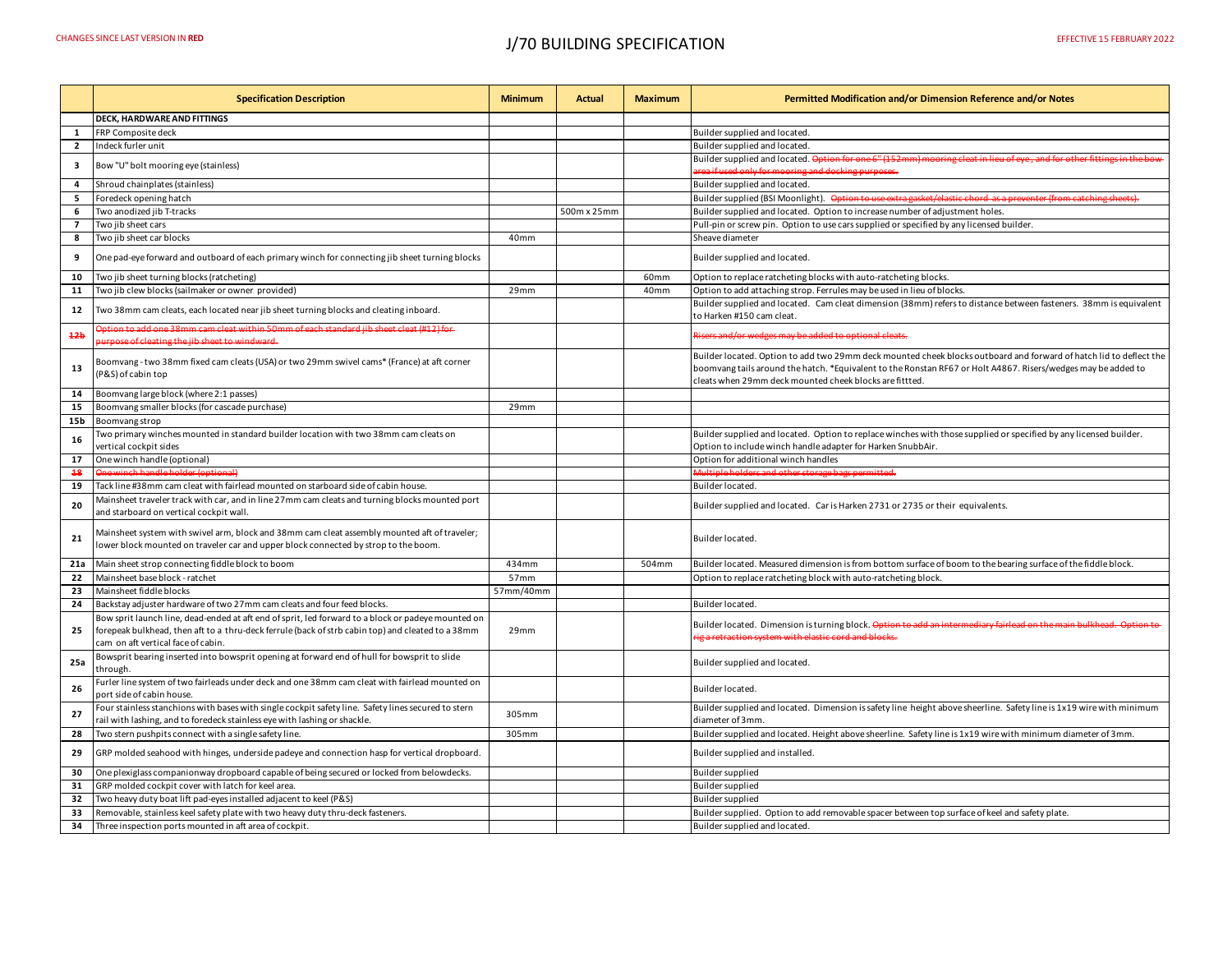## CHANGES SINCE LAST VERSION IN **RED** J/70 BUILDING SPECIFICATION EFFECTIVE 15 FEBRUARY 2022

|                          | <b>Specification Description</b>                                                                                                                                                                                                              | <b>Minimum</b> | Actual      | <b>Maximum</b> | Permitted Modification and/or Dimension Reference and/or Notes                                                                                                                                                                                                                                 |
|--------------------------|-----------------------------------------------------------------------------------------------------------------------------------------------------------------------------------------------------------------------------------------------|----------------|-------------|----------------|------------------------------------------------------------------------------------------------------------------------------------------------------------------------------------------------------------------------------------------------------------------------------------------------|
|                          | <b>DECK. HARDWARE AND FITTINGS</b>                                                                                                                                                                                                            |                |             |                |                                                                                                                                                                                                                                                                                                |
| $\mathbf{1}$             | FRP Composite deck                                                                                                                                                                                                                            |                |             |                | Builder supplied and located.                                                                                                                                                                                                                                                                  |
| $\mathbf{2}$             | Indeck furler unit                                                                                                                                                                                                                            |                |             |                | Builder supplied and located.                                                                                                                                                                                                                                                                  |
| 3                        | Bow "U" bolt mooring eye (stainless)                                                                                                                                                                                                          |                |             |                | Builder supplied and located. Option for one 6" (152mm) mooring cleat in lieu of eye, and for other fittings in the bow                                                                                                                                                                        |
|                          |                                                                                                                                                                                                                                               |                |             |                | rea if used only for mooring and docking purposes.                                                                                                                                                                                                                                             |
| 4                        | Shroud chainplates (stainless)                                                                                                                                                                                                                |                |             |                | Builder supplied and located.                                                                                                                                                                                                                                                                  |
| 5                        | Foredeck opening hatch                                                                                                                                                                                                                        |                |             |                | Builder supplied (BSI Moonlight). Option to use extra gasket/elastic chord as a preventer (from catching sheets).                                                                                                                                                                              |
| 6                        | Two anodized jib T-tracks                                                                                                                                                                                                                     |                | 500m x 25mm |                | Builder supplied and located. Option to increase number of adjustment holes.                                                                                                                                                                                                                   |
| $\overline{\phantom{a}}$ | Two jib sheet cars                                                                                                                                                                                                                            |                |             |                | Pull-pin or screw pin. Option to use cars supplied or specified by any licensed builder.                                                                                                                                                                                                       |
| 8                        | Two jib sheet car blocks                                                                                                                                                                                                                      | 40mm           |             |                | Sheave diameter                                                                                                                                                                                                                                                                                |
| 9                        | One pad-eye forward and outboard of each primary winch for connecting jib sheet turning blocks                                                                                                                                                |                |             |                | Builder supplied and located.                                                                                                                                                                                                                                                                  |
| 10                       | Two jib sheet turning blocks (ratcheting)                                                                                                                                                                                                     |                |             | 60mm           | Option to replace ratcheting blocks with auto-ratcheting blocks.                                                                                                                                                                                                                               |
| 11                       | Two jib clew blocks (sailmaker or owner provided)                                                                                                                                                                                             | 29mm           |             | 40mm           | Option to add attaching strop. Ferrules may be used in lieu of blocks.                                                                                                                                                                                                                         |
| 12                       | Two 38mm cam cleats, each located near jib sheet turning blocks and cleating inboard.                                                                                                                                                         |                |             |                | Builder supplied and located. Cam cleat dimension (38mm) refers to distance between fasteners. 38mm is equivalent<br>to Harken #150 cam cleat.                                                                                                                                                 |
| 42b                      | ption to add one 38mm cam cleat within 50mm of each standard jib sheet cleat (#12) for<br>rpose of cleating the jib sheet to windward.                                                                                                        |                |             |                | av be added to optional cleats.                                                                                                                                                                                                                                                                |
| 13                       | Boomvang - two 38mm fixed cam cleats (USA) or two 29mm swivel cams* (France) at aft corner<br>(P&S) of cabin top                                                                                                                              |                |             |                | Builder located. Option to add two 29mm deck mounted cheek blocks outboard and forward of hatch lid to deflect the<br>boomvang tails around the hatch. *Equivalent to the Ronstan RF67 or Holt A4867. Risers/wedges may be added to<br>cleats when 29mm deck mounted cheek blocks are fittted. |
| 14                       | Boomvang large block (where 2:1 passes)                                                                                                                                                                                                       |                |             |                |                                                                                                                                                                                                                                                                                                |
| 15                       | Boomvang smaller blocks (for cascade purchase)                                                                                                                                                                                                | 29mm           |             |                |                                                                                                                                                                                                                                                                                                |
| 15 <sub>b</sub>          | Boomvang strop                                                                                                                                                                                                                                |                |             |                |                                                                                                                                                                                                                                                                                                |
| 16                       | Two primary winches mounted in standard builder location with two 38mm cam cleats on<br>vertical cockpit sides                                                                                                                                |                |             |                | Builder supplied and located. Option to replace winches with those supplied or specified by any licensed builder.<br>Option to include winch handle adapter for Harken SnubbAir.                                                                                                               |
| 17                       | One winch handle (optional)                                                                                                                                                                                                                   |                |             |                | Option for additional winch handles                                                                                                                                                                                                                                                            |
| 48                       | inch handle holder (ontional)                                                                                                                                                                                                                 |                |             |                | ge bags permitted.                                                                                                                                                                                                                                                                             |
| 19                       | Tack line #38mm cam cleat with fairlead mounted on starboard side of cabin house.                                                                                                                                                             |                |             |                | Builder located.                                                                                                                                                                                                                                                                               |
| 20                       | Mainsheet traveler track with car, and in line 27mm cam cleats and turning blocks mounted port<br>and starboard on vertical cockpit wall.                                                                                                     |                |             |                | Builder supplied and located. Car is Harken 2731 or 2735 or their equivalents.                                                                                                                                                                                                                 |
| 21                       | Mainsheet system with swivel arm, block and 38mm cam cleat assembly mounted aft of traveler;<br>lower block mounted on traveler car and upper block connected by strop to the boom.                                                           |                |             |                | Builder located.                                                                                                                                                                                                                                                                               |
| 21a                      | Main sheet strop connecting fiddle block to boom                                                                                                                                                                                              | 434mm          |             | 504mm          | Builder located. Measured dimension is from bottom surface of boom to the bearing surface of the fiddle block.                                                                                                                                                                                 |
| 22                       | Mainsheet base block - ratchet                                                                                                                                                                                                                | 57mm           |             |                | Option to replace ratcheting block with auto-ratcheting block.                                                                                                                                                                                                                                 |
| 23                       | Mainsheet fiddle blocks                                                                                                                                                                                                                       | 57mm/40mm      |             |                |                                                                                                                                                                                                                                                                                                |
| 24                       | Backstay adjuster hardware of two 27mm cam cleats and four feed blocks.                                                                                                                                                                       |                |             |                | Builder located.                                                                                                                                                                                                                                                                               |
| 25                       | Bow sprit launch line, dead-ended at aft end of sprit, led forward to a block or padeye mounted on<br>forepeak bulkhead, then aft to a thru-deck ferrule (back of strb cabin top) and cleated to a 38mm<br>cam on aft vertical face of cabin. | 29mm           |             |                | Builder located. Dimension is turning block. Option to add an intermediary fairlead on the main bulkhead. Option to<br>traction system with elastic cord and blocks.                                                                                                                           |
| 25a                      | Bowsprit bearing inserted into bowsprit opening at forward end of hull for bowsprit to slide<br>through.                                                                                                                                      |                |             |                | Builder supplied and located.                                                                                                                                                                                                                                                                  |
| 26                       | Furler line system of two fairleads under deck and one 38mm cam cleat with fairlead mounted on<br>port side of cabin house.                                                                                                                   |                |             |                | Builder located.                                                                                                                                                                                                                                                                               |
| 27                       | Four stainless stanchions with bases with single cockpit safety line. Safety lines secured to stern<br>rail with lashing, and to foredeck stainless eye with lashing or shackle.                                                              | 305mm          |             |                | Builder supplied and located. Dimension is safety line height above sheerline. Safety line is 1x19 wire with minimum<br>diameter of 3mm.                                                                                                                                                       |
| 28                       | Two stern pushpits connect with a single safety line.                                                                                                                                                                                         | 305mm          |             |                | Builder supplied and located. Height above sheerline. Safety line is 1x19 wire with minimum diameter of 3mm.                                                                                                                                                                                   |
| 29                       | GRP molded seahood with hinges, underside padeye and connection hasp for vertical dropboard.                                                                                                                                                  |                |             |                | Builder supplied and installed.                                                                                                                                                                                                                                                                |
| 30                       | One plexiglass companionway dropboard capable of being secured or locked from belowdecks.                                                                                                                                                     |                |             |                | Builder supplied                                                                                                                                                                                                                                                                               |
| 31                       | GRP molded cockpit cover with latch for keel area.                                                                                                                                                                                            |                |             |                | Builder supplied                                                                                                                                                                                                                                                                               |
| 32                       | Two heavy duty boat lift pad-eyes installed adjacent to keel (P&S)                                                                                                                                                                            |                |             |                | Builder supplied                                                                                                                                                                                                                                                                               |
| 33                       | Removable, stainless keel safety plate with two heavy duty thru-deck fasteners.                                                                                                                                                               |                |             |                | Builder supplied. Option to add removable spacer between top surface of keel and safety plate.                                                                                                                                                                                                 |
| 34                       | Three inspection ports mounted in aft area of cockpit.                                                                                                                                                                                        |                |             |                | Builder supplied and located.                                                                                                                                                                                                                                                                  |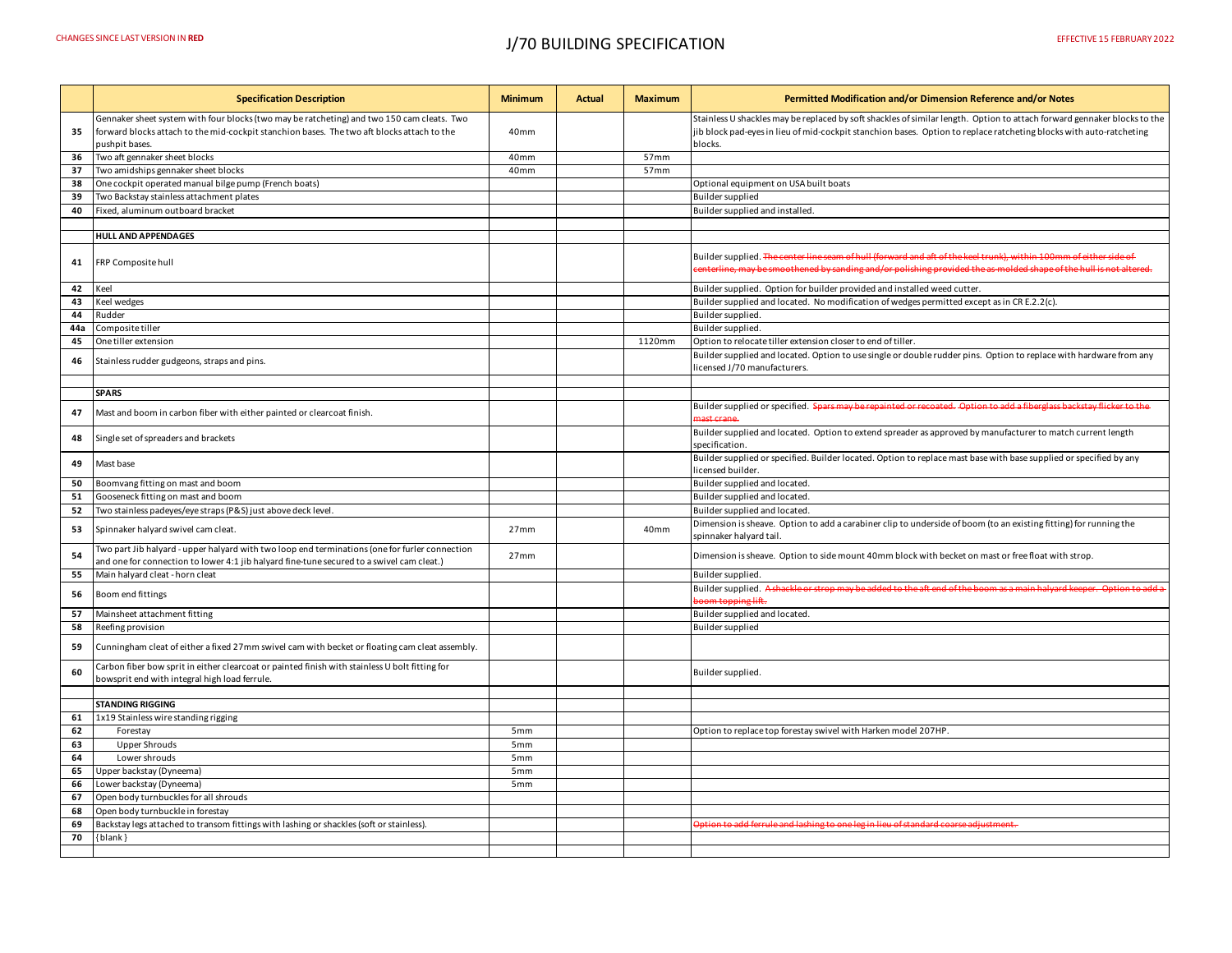|          | <b>Specification Description</b>                                                                                                                                                                           | <b>Minimum</b>   | <b>Actual</b> | <b>Maximum</b> | Permitted Modification and/or Dimension Reference and/or Notes                                                                                                                                                                                            |
|----------|------------------------------------------------------------------------------------------------------------------------------------------------------------------------------------------------------------|------------------|---------------|----------------|-----------------------------------------------------------------------------------------------------------------------------------------------------------------------------------------------------------------------------------------------------------|
| 35       | Gennaker sheet system with four blocks (two may be ratcheting) and two 150 cam cleats. Two<br>forward blocks attach to the mid-cockpit stanchion bases. The two aft blocks attach to the<br>pushpit bases. | 40 <sub>mm</sub> |               |                | Stainless U shackles may be replaced by soft shackles of similar length. Option to attach forward gennaker blocks to the<br>ib block pad-eyes in lieu of mid-cockpit stanchion bases. Option to replace ratcheting blocks with auto-ratcheting<br>blocks. |
| 36       | Two aft gennaker sheet blocks                                                                                                                                                                              | 40mm             |               | 57mm           |                                                                                                                                                                                                                                                           |
| 37       | Two amidships gennaker sheet blocks                                                                                                                                                                        | 40mm             |               | 57mm           |                                                                                                                                                                                                                                                           |
| 38       | One cockpit operated manual bilge pump (French boats)                                                                                                                                                      |                  |               |                | Optional equipment on USA built boats                                                                                                                                                                                                                     |
| 39       | Two Backstay stainless attachment plates                                                                                                                                                                   |                  |               |                | Builder supplied                                                                                                                                                                                                                                          |
| 40       | Fixed, aluminum outboard bracket                                                                                                                                                                           |                  |               |                | Builder supplied and installed                                                                                                                                                                                                                            |
|          |                                                                                                                                                                                                            |                  |               |                |                                                                                                                                                                                                                                                           |
|          | <b>HULL AND APPENDAGES</b>                                                                                                                                                                                 |                  |               |                |                                                                                                                                                                                                                                                           |
| 41       | FRP Composite hull                                                                                                                                                                                         |                  |               |                | Builder supplied. The center line seam of hull (forward and aft of the keel trunk), within 100mm of either side of<br>w be smoothened by sanding and/or polishing provided the as-molded shape of the hull is not alter                                   |
| 42       | Keel                                                                                                                                                                                                       |                  |               |                | Builder supplied. Option for builder provided and installed weed cutter.                                                                                                                                                                                  |
| 43       | Keel wedges                                                                                                                                                                                                |                  |               |                | Builder supplied and located. No modification of wedges permitted except as in CR E.2.2(c).                                                                                                                                                               |
| 44       | Rudder                                                                                                                                                                                                     |                  |               |                | Builder supplied.                                                                                                                                                                                                                                         |
| 44a      | Composite tiller                                                                                                                                                                                           |                  |               |                | Builder supplied.                                                                                                                                                                                                                                         |
| 45       | One tiller extension                                                                                                                                                                                       |                  |               | 1120mm         | Option to relocate tiller extension closer to end of tiller.                                                                                                                                                                                              |
| 46       | Stainless rudder gudgeons, straps and pins.                                                                                                                                                                |                  |               |                | Builder supplied and located. Option to use single or double rudder pins. Option to replace with hardware from any<br>icensed J/70 manufacturers.                                                                                                         |
|          | <b>SPARS</b>                                                                                                                                                                                               |                  |               |                |                                                                                                                                                                                                                                                           |
|          |                                                                                                                                                                                                            |                  |               |                |                                                                                                                                                                                                                                                           |
| 47       | Mast and boom in carbon fiber with either painted or clearcoat finish.                                                                                                                                     |                  |               |                | Builder supplied or specified. Spars may be repainted or recoated. Option to add a fiberglass backstay flicker to the<br>ract crane                                                                                                                       |
| 48       | Single set of spreaders and brackets                                                                                                                                                                       |                  |               |                | Builder supplied and located. Option to extend spreader as approved by manufacturer to match current length<br>specification.                                                                                                                             |
| 49       | Mast base                                                                                                                                                                                                  |                  |               |                | Builder supplied or specified. Builder located. Option to replace mast base with base supplied or specified by any<br>icensed builder.                                                                                                                    |
| 50       | Boomvang fitting on mast and boom                                                                                                                                                                          |                  |               |                | Builder supplied and located.                                                                                                                                                                                                                             |
| 51       | Gooseneck fitting on mast and boom                                                                                                                                                                         |                  |               |                | Builder supplied and located.                                                                                                                                                                                                                             |
| 52       | Two stainless padeyes/eye straps (P&S) just above deck level                                                                                                                                               |                  |               |                | Builder supplied and located.                                                                                                                                                                                                                             |
| 53       | Spinnaker halyard swivel cam cleat.                                                                                                                                                                        | 27 <sub>mm</sub> |               | 40mm           | Dimension is sheave. Option to add a carabiner clip to underside of boom (to an existing fitting) for running the<br>spinnaker halyard tail                                                                                                               |
| 54       | Two part Jib halyard - upper halyard with two loop end terminations (one for furler connection<br>and one for connection to lower 4:1 jib halyard fine-tune secured to a swivel cam cleat.)                | 27mm             |               |                | Dimension is sheave. Option to side mount 40mm block with becket on mast or free float with strop.                                                                                                                                                        |
| 55       | Main halyard cleat - horn cleat                                                                                                                                                                            |                  |               |                | Builder supplied.                                                                                                                                                                                                                                         |
| 56       | Boom end fittings                                                                                                                                                                                          |                  |               |                | Builder supplied. A shackle or strop may be added to the aft end of th<br>oom topping lift.                                                                                                                                                               |
| 57       | Mainsheet attachment fitting                                                                                                                                                                               |                  |               |                | Builder supplied and located.                                                                                                                                                                                                                             |
| 58       | Reefing provision                                                                                                                                                                                          |                  |               |                | Builder supplied                                                                                                                                                                                                                                          |
| 59       | Cunningham cleat of either a fixed 27mm swivel cam with becket or floating cam cleat assembly.                                                                                                             |                  |               |                |                                                                                                                                                                                                                                                           |
| 60       | Carbon fiber bow sprit in either clearcoat or painted finish with stainless U bolt fitting for<br>bowsprit end with integral high load ferrule.                                                            |                  |               |                | Builder supplied.                                                                                                                                                                                                                                         |
|          |                                                                                                                                                                                                            |                  |               |                |                                                                                                                                                                                                                                                           |
|          | <b>STANDING RIGGING</b>                                                                                                                                                                                    |                  |               |                |                                                                                                                                                                                                                                                           |
| 61       | 1x19 Stainless wire standing rigging                                                                                                                                                                       |                  |               |                |                                                                                                                                                                                                                                                           |
| 62       | Forestay                                                                                                                                                                                                   | 5 <sub>mm</sub>  |               |                | Option to replace top forestay swivel with Harken model 207HP.                                                                                                                                                                                            |
| 63       | <b>Upper Shrouds</b>                                                                                                                                                                                       | 5 <sub>mm</sub>  |               |                |                                                                                                                                                                                                                                                           |
| 64       | Lower shrouds                                                                                                                                                                                              | 5 <sub>mm</sub>  |               |                |                                                                                                                                                                                                                                                           |
| 65       | Upper backstay (Dyneema)                                                                                                                                                                                   | 5 <sub>mm</sub>  |               |                |                                                                                                                                                                                                                                                           |
| 66       | Lower backstay (Dyneema)                                                                                                                                                                                   | 5mm              |               |                |                                                                                                                                                                                                                                                           |
| 67       | Open body turnbuckles for all shrouds                                                                                                                                                                      |                  |               |                |                                                                                                                                                                                                                                                           |
| 68       | Open body turnbuckle in forestay                                                                                                                                                                           |                  |               |                |                                                                                                                                                                                                                                                           |
| 69<br>70 | Backstay legs attached to transom fittings with lashing or shackles (soft or stainless).                                                                                                                   |                  |               |                | <u> Option to add ferrule and lashing to one leg in lieu of standard coarse adjustment.</u>                                                                                                                                                               |
|          | $\{blank\}$                                                                                                                                                                                                |                  |               |                |                                                                                                                                                                                                                                                           |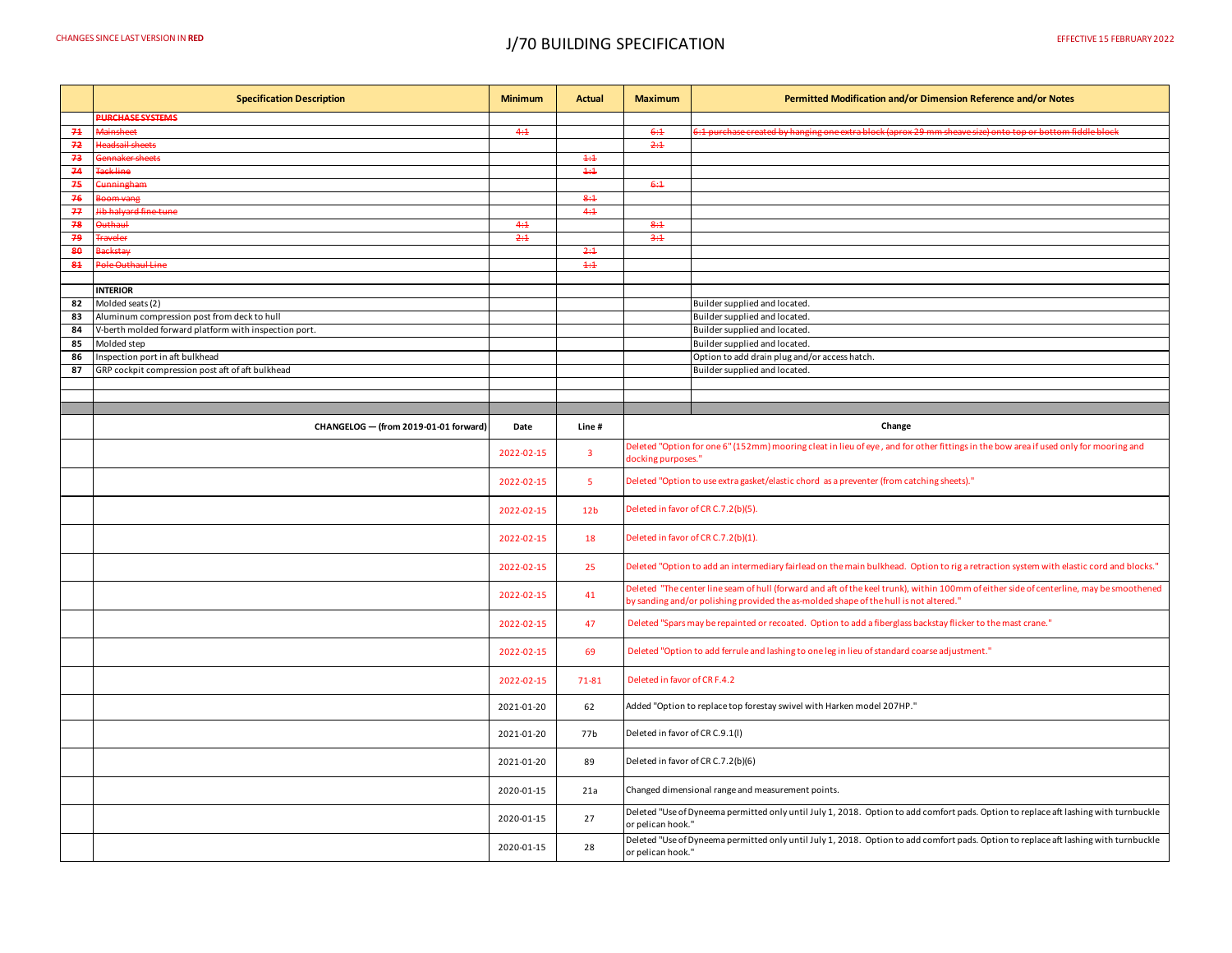## CHANGES SINCE LAST VERSION IN **RED** J/70 BUILDING SPECIFICATION EFFECTIVE 15 FEBRUARY 2022

|                | <b>Specification Description</b>                      | <b>Minimum</b> | <b>Actual</b>           | <b>Maximum</b>                                                                                                                         | Permitted Modification and/or Dimension Reference and/or Notes                                                                                                                                                                   |  |
|----------------|-------------------------------------------------------|----------------|-------------------------|----------------------------------------------------------------------------------------------------------------------------------------|----------------------------------------------------------------------------------------------------------------------------------------------------------------------------------------------------------------------------------|--|
|                | <b>PURCHASE SYSTEMS</b>                               |                |                         |                                                                                                                                        |                                                                                                                                                                                                                                  |  |
| 71             | <b>Mainsheet</b>                                      | 4:1            |                         | 6:4                                                                                                                                    | .<br>He purchase created by hanging one extra block (aprox 29 mm sheave size) onto top or bottom fiddle block in th                                                                                                              |  |
| 72             | leadsail sheets                                       |                |                         | 2:4                                                                                                                                    |                                                                                                                                                                                                                                  |  |
| 73             | <del>iaker sheets</del>                               |                | 4:4                     |                                                                                                                                        |                                                                                                                                                                                                                                  |  |
| 74             | Fack line                                             |                | 4:4                     |                                                                                                                                        |                                                                                                                                                                                                                                  |  |
| 75             | unningham                                             |                |                         | 6:4                                                                                                                                    |                                                                                                                                                                                                                                  |  |
| 76             |                                                       |                | 8:4                     |                                                                                                                                        |                                                                                                                                                                                                                                  |  |
| $\overline{H}$ | lib halyard fine tune                                 |                | 4:1                     |                                                                                                                                        |                                                                                                                                                                                                                                  |  |
| 78             | البيهطيسة                                             | 4:1            |                         | 8:4                                                                                                                                    |                                                                                                                                                                                                                                  |  |
| 79             | raveler                                               | 2:1            |                         | 3:1                                                                                                                                    |                                                                                                                                                                                                                                  |  |
| 80             | <b>ackstay</b>                                        |                | 2:4                     |                                                                                                                                        |                                                                                                                                                                                                                                  |  |
| 84             | ole Outhaul Line                                      |                | 4:4                     |                                                                                                                                        |                                                                                                                                                                                                                                  |  |
|                |                                                       |                |                         |                                                                                                                                        |                                                                                                                                                                                                                                  |  |
|                | <b>INTERIOR</b>                                       |                |                         |                                                                                                                                        |                                                                                                                                                                                                                                  |  |
| 82             | Molded seats (2)                                      |                |                         |                                                                                                                                        | Builder supplied and located.                                                                                                                                                                                                    |  |
| 83             | Aluminum compression post from deck to hull           |                |                         |                                                                                                                                        | Builder supplied and located.                                                                                                                                                                                                    |  |
| 84             | V-berth molded forward platform with inspection port. |                |                         |                                                                                                                                        | Builder supplied and located.                                                                                                                                                                                                    |  |
| 85             | Molded step                                           |                |                         |                                                                                                                                        | Builder supplied and located.                                                                                                                                                                                                    |  |
| 86             | Inspection port in aft bulkhead                       |                |                         |                                                                                                                                        | Option to add drain plug and/or access hatch.                                                                                                                                                                                    |  |
| 87             | GRP cockpit compression post aft of aft bulkhead      |                |                         |                                                                                                                                        | Builder supplied and located.                                                                                                                                                                                                    |  |
|                |                                                       |                |                         |                                                                                                                                        |                                                                                                                                                                                                                                  |  |
|                |                                                       |                |                         |                                                                                                                                        |                                                                                                                                                                                                                                  |  |
|                |                                                       |                |                         |                                                                                                                                        |                                                                                                                                                                                                                                  |  |
|                | CHANGELOG - (from 2019-01-01 forward)                 | Date           | Line#                   |                                                                                                                                        | Change                                                                                                                                                                                                                           |  |
|                |                                                       | 2022-02-15     | $\overline{\mathbf{3}}$ | docking purposes."                                                                                                                     | Deleted "Option for one 6" (152mm) mooring cleat in lieu of eye, and for other fittings in the bow area if used only for mooring and                                                                                             |  |
|                |                                                       | 2022-02-15     | 5                       |                                                                                                                                        | Deleted "Option to use extra gasket/elastic chord as a preventer (from catching sheets)."                                                                                                                                        |  |
|                |                                                       | 2022-02-15     | 12 <sub>b</sub>         | Deleted in favor of CR C.7.2(b)(5).                                                                                                    |                                                                                                                                                                                                                                  |  |
|                |                                                       | 2022-02-15     | 18                      |                                                                                                                                        | Deleted in favor of CR C.7.2(b)(1).                                                                                                                                                                                              |  |
|                |                                                       | 2022-02-15     | 25                      | Deleted "Option to add an intermediary fairlead on the main bulkhead. Option to rig a retraction system with elastic cord and blocks." |                                                                                                                                                                                                                                  |  |
|                |                                                       | 2022-02-15     | 41                      |                                                                                                                                        | Deleted "The center line seam of hull (forward and aft of the keel trunk), within 100mm of either side of centerline, may be smoothened<br>by sanding and/or polishing provided the as-molded shape of the hull is not altered." |  |
|                |                                                       | 2022-02-15     | 47                      |                                                                                                                                        | Deleted "Spars may be repainted or recoated. Option to add a fiberglass backstay flicker to the mast crane."                                                                                                                     |  |
|                |                                                       | 2022-02-15     | 69                      |                                                                                                                                        | Deleted "Option to add ferrule and lashing to one leg in lieu of standard coarse adjustment."                                                                                                                                    |  |
|                |                                                       | 2022-02-15     | 71-81                   | Deleted in favor of CR F.4.2                                                                                                           |                                                                                                                                                                                                                                  |  |
|                |                                                       | 2021-01-20     | 62                      |                                                                                                                                        | Added "Option to replace top forestay swivel with Harken model 207HP."                                                                                                                                                           |  |
|                |                                                       | 2021-01-20     | 77b                     | Deleted in favor of CR C.9.1(I)                                                                                                        |                                                                                                                                                                                                                                  |  |
|                |                                                       | 2021-01-20     | 89                      | Deleted in favor of CR C.7.2(b)(6)                                                                                                     |                                                                                                                                                                                                                                  |  |
|                |                                                       | 2020-01-15     | 21a                     |                                                                                                                                        | Changed dimensional range and measurement points.                                                                                                                                                                                |  |
|                |                                                       | 2020-01-15     | 27                      | or pelican hook."                                                                                                                      | Deleted "Use of Dyneema permitted only until July 1, 2018. Option to add comfort pads. Option to replace aft lashing with turnbuckle                                                                                             |  |
|                |                                                       | 2020-01-15     | 28                      | or pelican hook."                                                                                                                      | Deleted "Use of Dyneema permitted only until July 1, 2018. Option to add comfort pads. Option to replace aft lashing with turnbuckle                                                                                             |  |